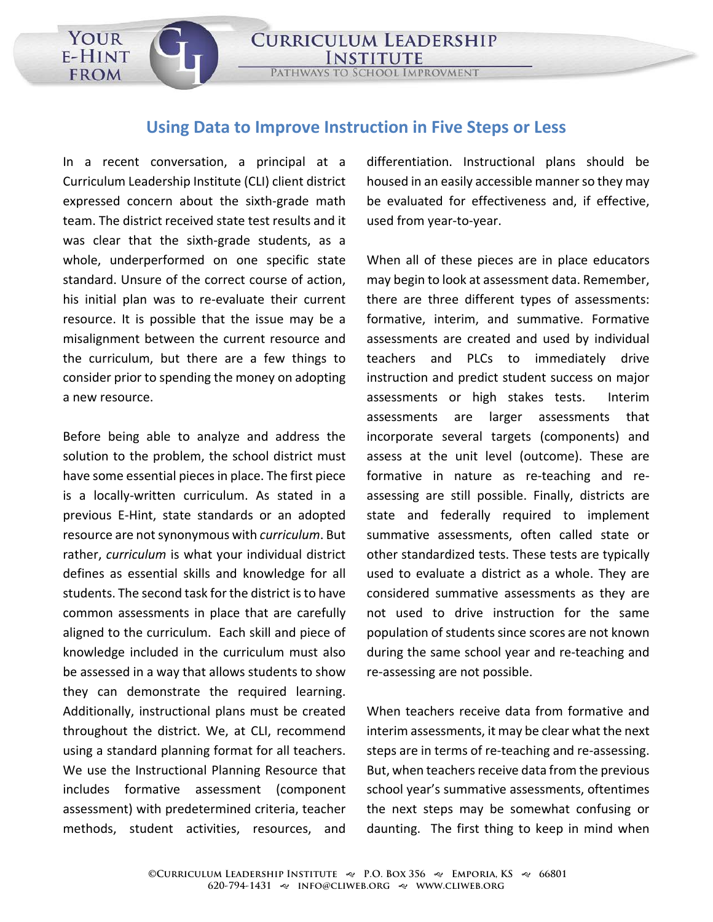## **Using Data to Improve Instruction in Five Steps or Less**

USING THE DATA TO IMPROVE IT IS NOT THE TOOL.

**CURRICULUM LEADERSHIP** 

PATHWAYS TO SCHOOL IMPROVMENT

In a recent conversation, a principal at a Curriculum Leadership Institute (CLI) client district expressed concern about the sixth-grade math team. The district received state test results and it was clear that the sixth-grade students, as a whole, underperformed on one specific state standard. Unsure of the correct course of action, his initial plan was to re-evaluate their current resource. It is possible that the issue may be a misalignment between the current resource and the curriculum, but there are a few things to consider prior to spending the money on adopting a new resource.

YOUR

E-HINT

**FROM** 

Before being able to analyze and address the solution to the problem, the school district must have some essential pieces in place. The first piece is a locally-written curriculum. As stated in a previous E-Hint, state standards or an adopted resource are not synonymous with *curriculum*. But rather, *curriculum* is what your individual district defines as essential skills and knowledge for all students. The second task for the district is to have common assessments in place that are carefully aligned to the curriculum. Each skill and piece of knowledge included in the curriculum must also be assessed in a way that allows students to show they can demonstrate the required learning. Additionally, instructional plans must be created throughout the district. We, at CLI, recommend using a standard planning format for all teachers. We use the Instructional Planning Resource that includes formative assessment (component assessment) with predetermined criteria, teacher methods, student activities, resources, and

differentiation. Instructional plans should be housed in an easily accessible manner so they may be evaluated for effectiveness and, if effective, used from year-to-year.

When all of these pieces are in place educators may begin to look at assessment data. Remember, there are three different types of assessments: formative, interim, and summative. Formative assessments are created and used by individual teachers and PLCs to immediately drive instruction and predict student success on major assessments or high stakes tests. Interim assessments are larger assessments that incorporate several targets (components) and assess at the unit level (outcome). These are formative in nature as re-teaching and reassessing are still possible. Finally, districts are state and federally required to implement summative assessments, often called state or other standardized tests. These tests are typically used to evaluate a district as a whole. They are considered summative assessments as they are not used to drive instruction for the same population of students since scores are not known during the same school year and re-teaching and re-assessing are not possible.

When teachers receive data from formative and interim assessments, it may be clear what the next steps are in terms of re-teaching and re-assessing. But, when teachers receive data from the previous school year's summative assessments, oftentimes the next steps may be somewhat confusing or daunting. The first thing to keep in mind when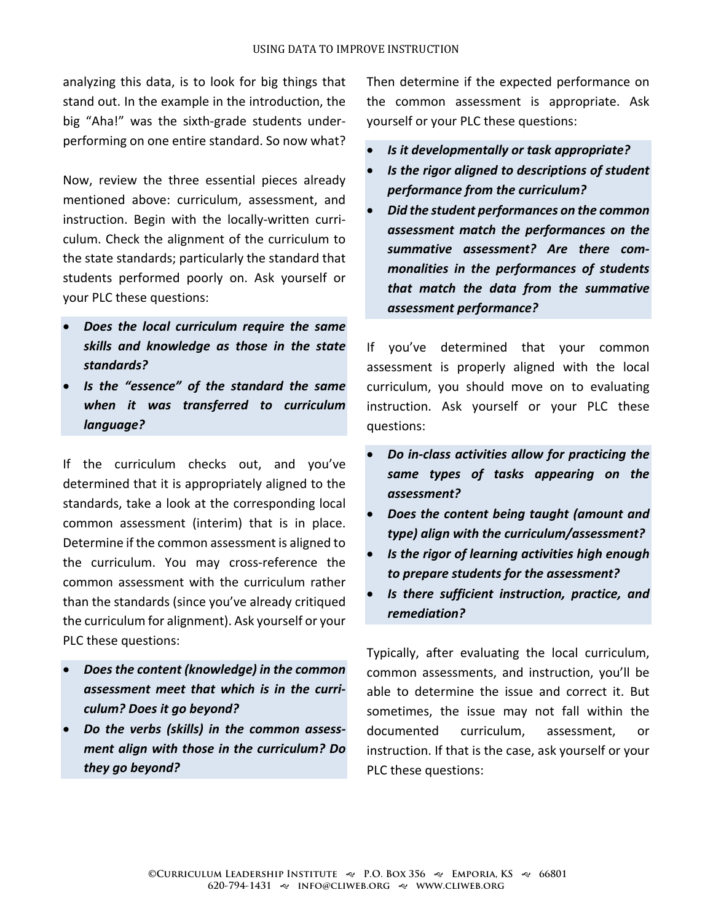analyzing this data, is to look for big things that stand out. In the example in the introduction, the big "Aha!" was the sixth-grade students underperforming on one entire standard. So now what?

Now, review the three essential pieces already mentioned above: curriculum, assessment, and instruction. Begin with the locally-written curriculum. Check the alignment of the curriculum to the state standards; particularly the standard that students performed poorly on. Ask yourself or your PLC these questions:

- *Does the local curriculum require the same skills and knowledge as those in the state standards?*
- *Is the "essence" of the standard the same when it was transferred to curriculum language?*

If the curriculum checks out, and you've determined that it is appropriately aligned to the standards, take a look at the corresponding local common assessment (interim) that is in place. Determine if the common assessment is aligned to the curriculum. You may cross-reference the common assessment with the curriculum rather than the standards (since you've already critiqued the curriculum for alignment). Ask yourself or your PLC these questions:

- *Does the content (knowledge) in the common assessment meet that which is in the curriculum? Does it go beyond?*
- *Do the verbs (skills) in the common assessment align with those in the curriculum? Do they go beyond?*

Then determine if the expected performance on the common assessment is appropriate. Ask yourself or your PLC these questions:

- *Is it developmentally or task appropriate?*
- *Is the rigor aligned to descriptions of student performance from the curriculum?*
- *Did the student performances on the common assessment match the performances on the summative assessment? Are there commonalities in the performances of students that match the data from the summative assessment performance?*

If you've determined that your common assessment is properly aligned with the local curriculum, you should move on to evaluating instruction. Ask yourself or your PLC these questions:

- *Do in-class activities allow for practicing the same types of tasks appearing on the assessment?*
- *Does the content being taught (amount and type) align with the curriculum/assessment?*
- *Is the rigor of learning activities high enough to prepare students for the assessment?*
- *Is there sufficient instruction, practice, and remediation?*

Typically, after evaluating the local curriculum, common assessments, and instruction, you'll be able to determine the issue and correct it. But sometimes, the issue may not fall within the documented curriculum, assessment, or instruction. If that is the case, ask yourself or your PLC these questions: